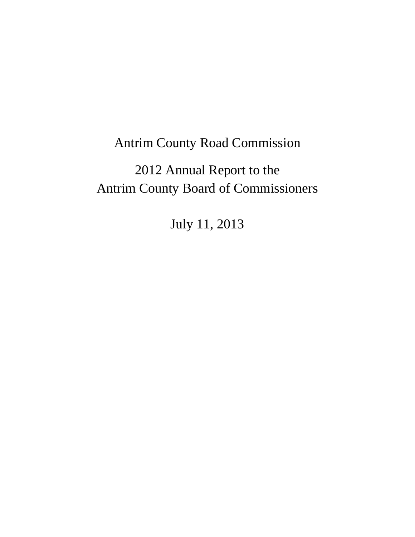## Antrim County Road Commission

# 2012 Annual Report to the Antrim County Board of Commissioners

July 11, 2013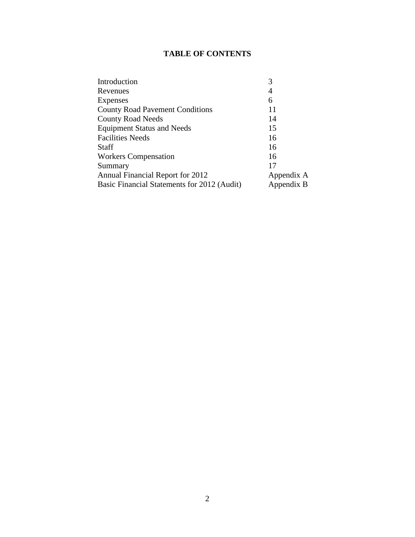## **TABLE OF CONTENTS**

| Introduction                                | 3          |
|---------------------------------------------|------------|
| Revenues                                    | 4          |
| Expenses                                    | 6          |
| <b>County Road Pavement Conditions</b>      | 11         |
| <b>County Road Needs</b>                    | 14         |
| <b>Equipment Status and Needs</b>           | 15         |
| <b>Facilities Needs</b>                     | 16         |
| <b>Staff</b>                                | 16         |
| <b>Workers Compensation</b>                 | 16         |
| Summary                                     | 17         |
| Annual Financial Report for 2012            | Appendix A |
| Basic Financial Statements for 2012 (Audit) | Appendix B |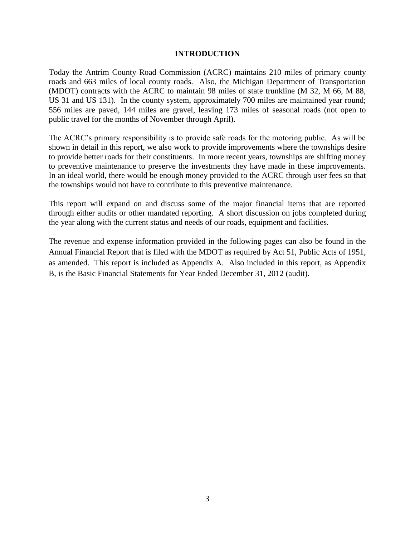## **INTRODUCTION**

Today the Antrim County Road Commission (ACRC) maintains 210 miles of primary county roads and 663 miles of local county roads. Also, the Michigan Department of Transportation (MDOT) contracts with the ACRC to maintain 98 miles of state trunkline (M 32, M 66, M 88, US 31 and US 131). In the county system, approximately 700 miles are maintained year round; 556 miles are paved, 144 miles are gravel, leaving 173 miles of seasonal roads (not open to public travel for the months of November through April).

The ACRC's primary responsibility is to provide safe roads for the motoring public. As will be shown in detail in this report, we also work to provide improvements where the townships desire to provide better roads for their constituents. In more recent years, townships are shifting money to preventive maintenance to preserve the investments they have made in these improvements. In an ideal world, there would be enough money provided to the ACRC through user fees so that the townships would not have to contribute to this preventive maintenance.

This report will expand on and discuss some of the major financial items that are reported through either audits or other mandated reporting. A short discussion on jobs completed during the year along with the current status and needs of our roads, equipment and facilities.

The revenue and expense information provided in the following pages can also be found in the Annual Financial Report that is filed with the MDOT as required by Act 51, Public Acts of 1951, as amended. This report is included as Appendix A. Also included in this report, as Appendix B, is the Basic Financial Statements for Year Ended December 31, 2012 (audit).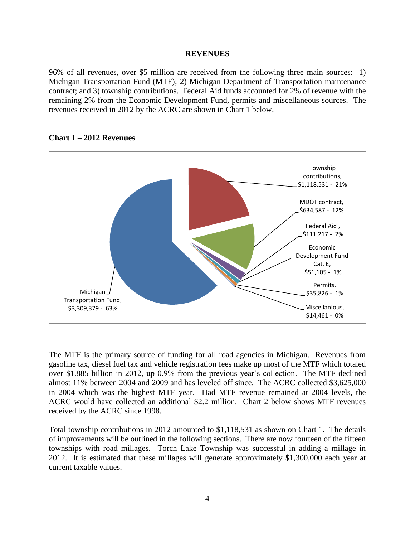#### **REVENUES**

96% of all revenues, over \$5 million are received from the following three main sources: 1) Michigan Transportation Fund (MTF); 2) Michigan Department of Transportation maintenance contract; and 3) township contributions. Federal Aid funds accounted for 2% of revenue with the remaining 2% from the Economic Development Fund, permits and miscellaneous sources. The revenues received in 2012 by the ACRC are shown in Chart 1 below.



## **Chart 1 – 2012 Revenues**

The MTF is the primary source of funding for all road agencies in Michigan. Revenues from gasoline tax, diesel fuel tax and vehicle registration fees make up most of the MTF which totaled over \$1.885 billion in 2012, up 0.9% from the previous year's collection. The MTF declined almost 11% between 2004 and 2009 and has leveled off since. The ACRC collected \$3,625,000 in 2004 which was the highest MTF year. Had MTF revenue remained at 2004 levels, the ACRC would have collected an additional \$2.2 million. Chart 2 below shows MTF revenues received by the ACRC since 1998.

Total township contributions in 2012 amounted to \$1,118,531 as shown on Chart 1. The details of improvements will be outlined in the following sections. There are now fourteen of the fifteen townships with road millages. Torch Lake Township was successful in adding a millage in 2012. It is estimated that these millages will generate approximately \$1,300,000 each year at current taxable values.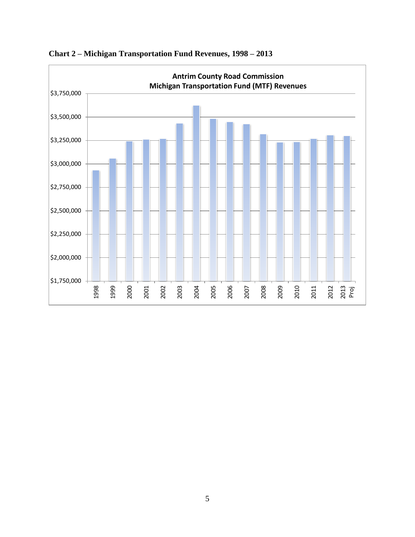

**Chart 2 – Michigan Transportation Fund Revenues, 1998 – 2013**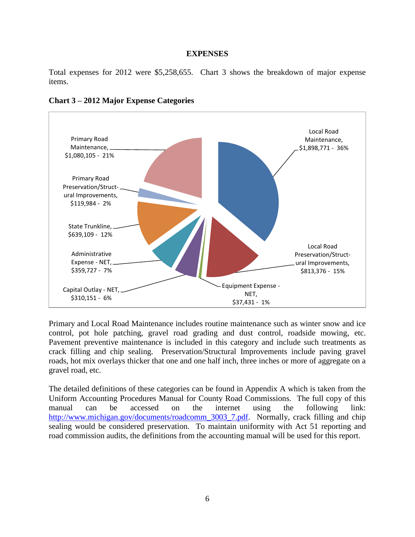#### **EXPENSES**

Total expenses for 2012 were \$5,258,655. Chart 3 shows the breakdown of major expense items.



## **Chart 3 – 2012 Major Expense Categories**

Primary and Local Road Maintenance includes routine maintenance such as winter snow and ice control, pot hole patching, gravel road grading and dust control, roadside mowing, etc. Pavement preventive maintenance is included in this category and include such treatments as crack filling and chip sealing. Preservation/Structural Improvements include paving gravel roads, hot mix overlays thicker that one and one half inch, three inches or more of aggregate on a gravel road, etc.

The detailed definitions of these categories can be found in Appendix A which is taken from the Uniform Accounting Procedures Manual for County Road Commissions. The full copy of this manual can be accessed on the internet using the following link: [http://www.michigan.gov/documents/roadcomm\\_3003\\_7.pdf.](http://www.michigan.gov/documents/roadcomm_3003_7.pdf) Normally, crack filling and chip sealing would be considered preservation. To maintain uniformity with Act 51 reporting and road commission audits, the definitions from the accounting manual will be used for this report.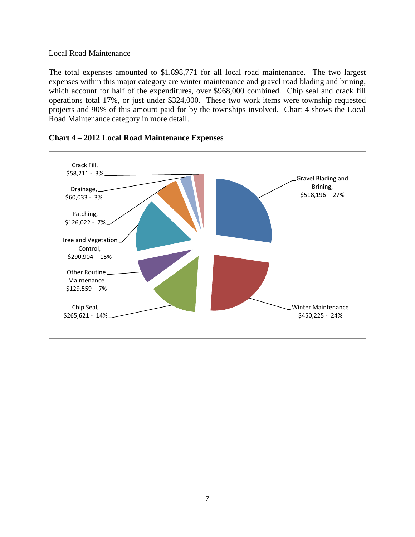## Local Road Maintenance

The total expenses amounted to \$1,898,771 for all local road maintenance. The two largest expenses within this major category are winter maintenance and gravel road blading and brining, which account for half of the expenditures, over \$968,000 combined. Chip seal and crack fill operations total 17%, or just under \$324,000. These two work items were township requested projects and 90% of this amount paid for by the townships involved. Chart 4 shows the Local Road Maintenance category in more detail.



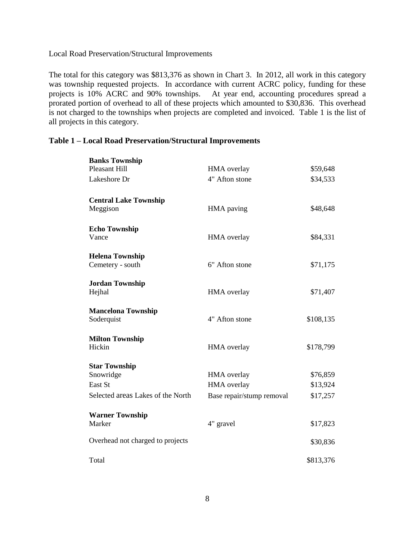## Local Road Preservation/Structural Improvements

The total for this category was \$813,376 as shown in Chart 3. In 2012, all work in this category was township requested projects. In accordance with current ACRC policy, funding for these projects is 10% ACRC and 90% townships. At year end, accounting procedures spread a At year end, accounting procedures spread a prorated portion of overhead to all of these projects which amounted to \$30,836. This overhead is not charged to the townships when projects are completed and invoiced. Table 1 is the list of all projects in this category.

## **Table 1 – Local Road Preservation/Structural Improvements**

| <b>Banks Township</b>             |                           |           |
|-----------------------------------|---------------------------|-----------|
| <b>Pleasant Hill</b>              | HMA overlay               | \$59,648  |
| Lakeshore Dr                      | 4" Afton stone            | \$34,533  |
| <b>Central Lake Township</b>      |                           |           |
| Meggison                          | HMA paving                | \$48,648  |
| <b>Echo Township</b>              |                           |           |
| Vance                             | <b>HMA</b> overlay        | \$84,331  |
| <b>Helena Township</b>            |                           |           |
| Cemetery - south                  | 6" Afton stone            | \$71,175  |
| <b>Jordan Township</b>            |                           |           |
| Hejhal                            | <b>HMA</b> overlay        | \$71,407  |
| <b>Mancelona Township</b>         |                           |           |
| Soderquist                        | 4" Afton stone            | \$108,135 |
| <b>Milton Township</b>            |                           |           |
| Hickin                            | HMA overlay               | \$178,799 |
| <b>Star Township</b>              |                           |           |
| Snowridge                         | <b>HMA</b> overlay        | \$76,859  |
| East St                           | HMA overlay               | \$13,924  |
| Selected areas Lakes of the North | Base repair/stump removal | \$17,257  |
| <b>Warner Township</b>            |                           |           |
| Marker                            | 4" gravel                 | \$17,823  |
| Overhead not charged to projects  |                           | \$30,836  |
| Total                             |                           | \$813,376 |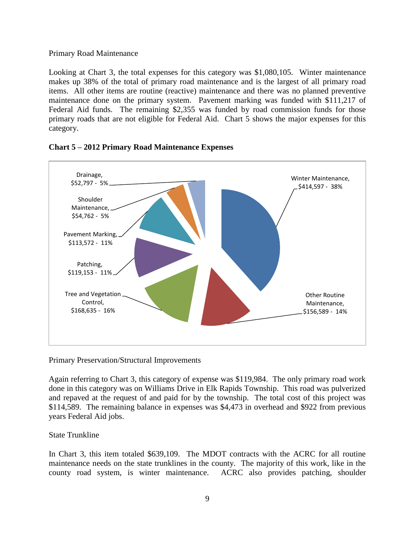## Primary Road Maintenance

Looking at Chart 3, the total expenses for this category was \$1,080,105. Winter maintenance makes up 38% of the total of primary road maintenance and is the largest of all primary road items. All other items are routine (reactive) maintenance and there was no planned preventive maintenance done on the primary system. Pavement marking was funded with \$111,217 of Federal Aid funds. The remaining \$2,355 was funded by road commission funds for those primary roads that are not eligible for Federal Aid. Chart 5 shows the major expenses for this category.





Primary Preservation/Structural Improvements

Again referring to Chart 3, this category of expense was \$119,984. The only primary road work done in this category was on Williams Drive in Elk Rapids Township. This road was pulverized and repaved at the request of and paid for by the township. The total cost of this project was \$114,589. The remaining balance in expenses was \$4,473 in overhead and \$922 from previous years Federal Aid jobs.

State Trunkline

In Chart 3, this item totaled \$639,109. The MDOT contracts with the ACRC for all routine maintenance needs on the state trunklines in the county. The majority of this work, like in the county road system, is winter maintenance. ACRC also provides patching, shoulder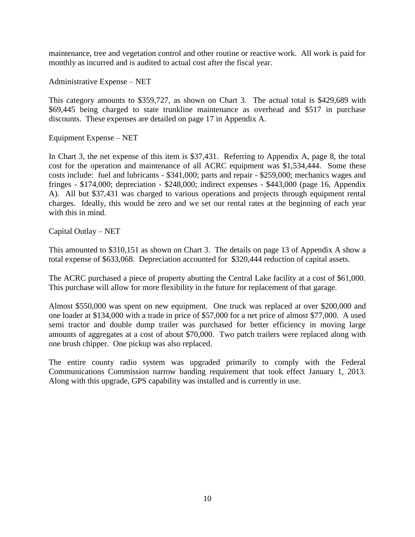maintenance, tree and vegetation control and other routine or reactive work. All work is paid for monthly as incurred and is audited to actual cost after the fiscal year.

Administrative Expense – NET

This category amounts to \$359,727, as shown on Chart 3. The actual total is \$429,689 with \$69,445 being charged to state trunkline maintenance as overhead and \$517 in purchase discounts. These expenses are detailed on page 17 in Appendix A.

Equipment Expense – NET

In Chart 3, the net expense of this item is \$37,431. Referring to Appendix A, page 8, the total cost for the operation and maintenance of all ACRC equipment was \$1,534,444. Some these costs include: fuel and lubricants - \$341,000; parts and repair - \$259,000; mechanics wages and fringes - \$174,000; depreciation - \$248,000; indirect expenses - \$443,000 (page 16, Appendix A). All but \$37,431 was charged to various operations and projects through equipment rental charges. Ideally, this would be zero and we set our rental rates at the beginning of each year with this in mind.

## Capital Outlay – NET

This amounted to \$310,151 as shown on Chart 3. The details on page 13 of Appendix A show a total expense of \$633,068. Depreciation accounted for \$320,444 reduction of capital assets.

The ACRC purchased a piece of property abutting the Central Lake facility at a cost of \$61,000. This purchase will allow for more flexibility in the future for replacement of that garage.

Almost \$550,000 was spent on new equipment. One truck was replaced at over \$200,000 and one loader at \$134,000 with a trade in price of \$57,000 for a net price of almost \$77,000. A used semi tractor and double dump trailer was purchased for better efficiency in moving large amounts of aggregates at a cost of about \$70,000. Two patch trailers were replaced along with one brush chipper. One pickup was also replaced.

The entire county radio system was upgraded primarily to comply with the Federal Communications Commission narrow banding requirement that took effect January 1, 2013. Along with this upgrade, GPS capability was installed and is currently in use.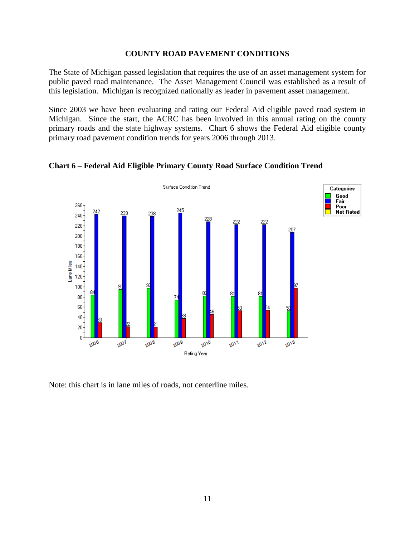## **COUNTY ROAD PAVEMENT CONDITIONS**

The State of Michigan passed legislation that requires the use of an asset management system for public paved road maintenance. The Asset Management Council was established as a result of this legislation. Michigan is recognized nationally as leader in pavement asset management.

Since 2003 we have been evaluating and rating our Federal Aid eligible paved road system in Michigan. Since the start, the ACRC has been involved in this annual rating on the county primary roads and the state highway systems. Chart 6 shows the Federal Aid eligible county primary road pavement condition trends for years 2006 through 2013.



**Chart 6 – Federal Aid Eligible Primary County Road Surface Condition Trend**

Note: this chart is in lane miles of roads, not centerline miles.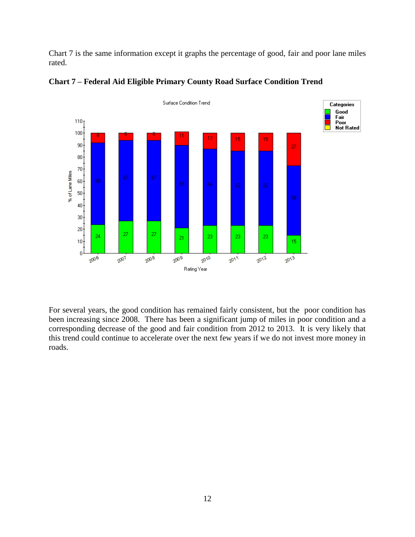Chart 7 is the same information except it graphs the percentage of good, fair and poor lane miles rated.





For several years, the good condition has remained fairly consistent, but the poor condition has been increasing since 2008. There has been a significant jump of miles in poor condition and a corresponding decrease of the good and fair condition from 2012 to 2013. It is very likely that this trend could continue to accelerate over the next few years if we do not invest more money in roads.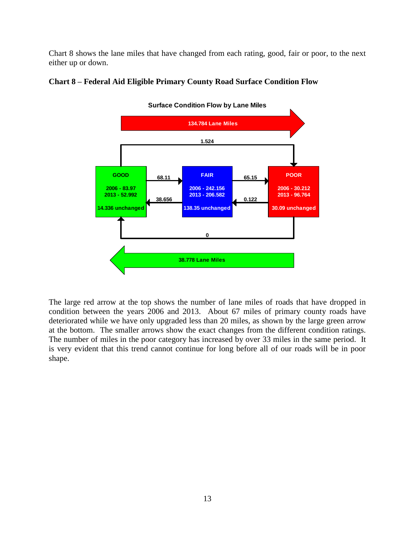Chart 8 shows the lane miles that have changed from each rating, good, fair or poor, to the next either up or down.



## **Chart 8 – Federal Aid Eligible Primary County Road Surface Condition Flow**

The large red arrow at the top shows the number of lane miles of roads that have dropped in condition between the years 2006 and 2013. About 67 miles of primary county roads have deteriorated while we have only upgraded less than 20 miles, as shown by the large green arrow at the bottom. The smaller arrows show the exact changes from the different condition ratings. The number of miles in the poor category has increased by over 33 miles in the same period. It is very evident that this trend cannot continue for long before all of our roads will be in poor shape.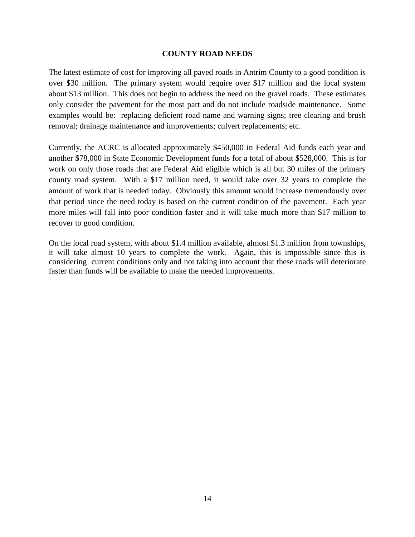## **COUNTY ROAD NEEDS**

The latest estimate of cost for improving all paved roads in Antrim County to a good condition is over \$30 million. The primary system would require over \$17 million and the local system about \$13 million. This does not begin to address the need on the gravel roads. These estimates only consider the pavement for the most part and do not include roadside maintenance. Some examples would be: replacing deficient road name and warning signs; tree clearing and brush removal; drainage maintenance and improvements; culvert replacements; etc.

Currently, the ACRC is allocated approximately \$450,000 in Federal Aid funds each year and another \$78,000 in State Economic Development funds for a total of about \$528,000. This is for work on only those roads that are Federal Aid eligible which is all but 30 miles of the primary county road system. With a \$17 million need, it would take over 32 years to complete the amount of work that is needed today. Obviously this amount would increase tremendously over that period since the need today is based on the current condition of the pavement. Each year more miles will fall into poor condition faster and it will take much more than \$17 million to recover to good condition.

On the local road system, with about \$1.4 million available, almost \$1.3 million from townships, it will take almost 10 years to complete the work. Again, this is impossible since this is considering current conditions only and not taking into account that these roads will deteriorate faster than funds will be available to make the needed improvements.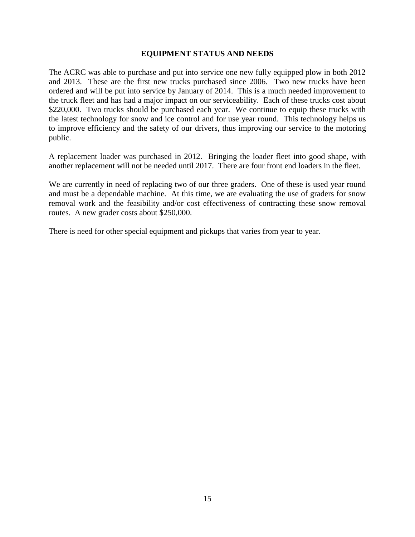## **EQUIPMENT STATUS AND NEEDS**

The ACRC was able to purchase and put into service one new fully equipped plow in both 2012 and 2013. These are the first new trucks purchased since 2006. Two new trucks have been ordered and will be put into service by January of 2014. This is a much needed improvement to the truck fleet and has had a major impact on our serviceability. Each of these trucks cost about \$220,000. Two trucks should be purchased each year. We continue to equip these trucks with the latest technology for snow and ice control and for use year round. This technology helps us to improve efficiency and the safety of our drivers, thus improving our service to the motoring public.

A replacement loader was purchased in 2012. Bringing the loader fleet into good shape, with another replacement will not be needed until 2017. There are four front end loaders in the fleet.

We are currently in need of replacing two of our three graders. One of these is used year round and must be a dependable machine. At this time, we are evaluating the use of graders for snow removal work and the feasibility and/or cost effectiveness of contracting these snow removal routes. A new grader costs about \$250,000.

There is need for other special equipment and pickups that varies from year to year.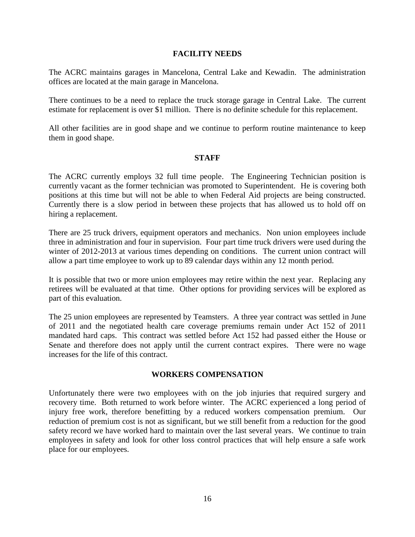## **FACILITY NEEDS**

The ACRC maintains garages in Mancelona, Central Lake and Kewadin. The administration offices are located at the main garage in Mancelona.

There continues to be a need to replace the truck storage garage in Central Lake. The current estimate for replacement is over \$1 million. There is no definite schedule for this replacement.

All other facilities are in good shape and we continue to perform routine maintenance to keep them in good shape.

## **STAFF**

The ACRC currently employs 32 full time people. The Engineering Technician position is currently vacant as the former technician was promoted to Superintendent. He is covering both positions at this time but will not be able to when Federal Aid projects are being constructed. Currently there is a slow period in between these projects that has allowed us to hold off on hiring a replacement.

There are 25 truck drivers, equipment operators and mechanics. Non union employees include three in administration and four in supervision. Four part time truck drivers were used during the winter of 2012-2013 at various times depending on conditions. The current union contract will allow a part time employee to work up to 89 calendar days within any 12 month period.

It is possible that two or more union employees may retire within the next year. Replacing any retirees will be evaluated at that time. Other options for providing services will be explored as part of this evaluation.

The 25 union employees are represented by Teamsters. A three year contract was settled in June of 2011 and the negotiated health care coverage premiums remain under Act 152 of 2011 mandated hard caps. This contract was settled before Act 152 had passed either the House or Senate and therefore does not apply until the current contract expires. There were no wage increases for the life of this contract.

## **WORKERS COMPENSATION**

Unfortunately there were two employees with on the job injuries that required surgery and recovery time. Both returned to work before winter. The ACRC experienced a long period of injury free work, therefore benefitting by a reduced workers compensation premium. Our reduction of premium cost is not as significant, but we still benefit from a reduction for the good safety record we have worked hard to maintain over the last several years. We continue to train employees in safety and look for other loss control practices that will help ensure a safe work place for our employees.